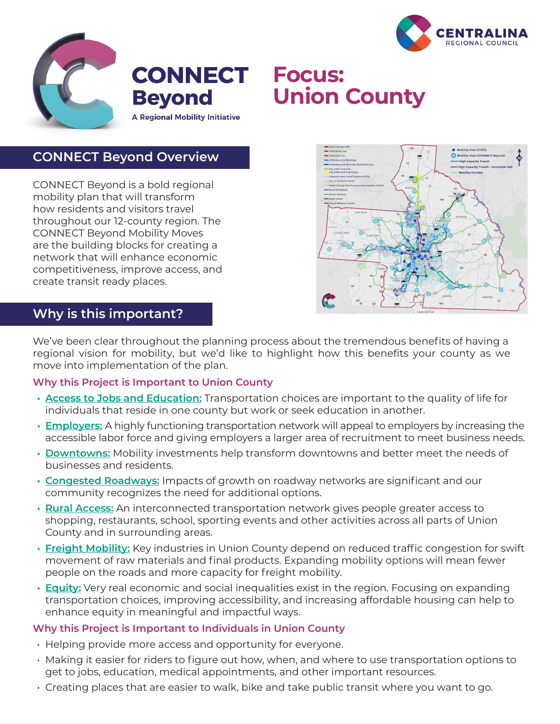



# **Union County**

## **CONNECT Beyond Overview**

CONNECT Beyond is a bold regional mobility plan that will transform how residents and visitors travel throughout our 12-county region. The CONNECT Beyond Mobility Moves are the building blocks for creating a network that will enhance economic competitiveness, improve access, and create transit ready places.



### **Why is this important?**

We've been clear throughout the planning process about the tremendous benefits of having a regional vision for mobility, but we'd like to highlight how this benefits your county as we move into implementation of the plan.

#### **Why this Project is Important to Union County**

- **• Access to Jobs and Education:** Transportation choices are important to the quality of life for individuals that reside in one county but work or seek education in another.
- **• Employers:** A highly functioning transportation network will appeal to employers by increasing the accessible labor force and giving employers a larger area of recruitment to meet business needs.
- **• Downtowns:** Mobility investments help transform downtowns and better meet the needs of businesses and residents.
- **• Congested Roadways:** Impacts of growth on roadway networks are significant and our community recognizes the need for additional options.
- **• Rural Access:** An interconnected transportation network gives people greater access to shopping, restaurants, school, sporting events and other activities across all parts of Union County and in surrounding areas.
- **• Freight Mobility:** Key industries in Union County depend on reduced traffic congestion for swift movement of raw materials and final products. Expanding mobility options will mean fewer people on the roads and more capacity for freight mobility.
- **• Equity:** Very real economic and social inequalities exist in the region. Focusing on expanding transportation choices, improving accessibility, and increasing affordable housing can help to enhance equity in meaningful and impactful ways.

#### **Why this Project is Important to Individuals in Union County**

- Helping provide more access and opportunity for everyone.
- Making it easier for riders to figure out how, when, and where to use transportation options to get to jobs, education, medical appointments, and other important resources.
- Creating places that are easier to walk, bike and take public transit where you want to go.